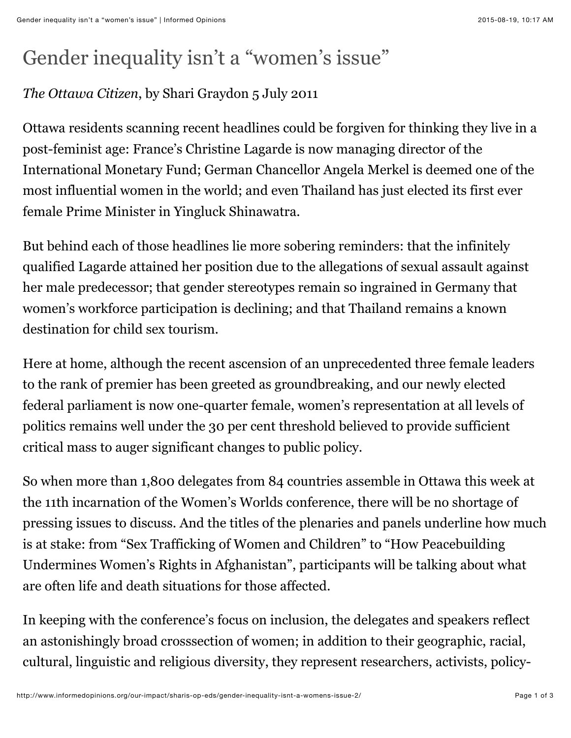## Gender inequality isn't a "women's issue"

## *The Ottawa Citizen*, by Shari Graydon 5 July 2011

Ottawa residents scanning recent headlines could be forgiven for thinking they live in a post-feminist age: France's Christine Lagarde is now managing director of the International Monetary Fund; German Chancellor Angela Merkel is deemed one of the most influential women in the world; and even Thailand has just elected its first ever female Prime Minister in Yingluck Shinawatra.

But behind each of those headlines lie more sobering reminders: that the infinitely qualified Lagarde attained her position due to the allegations of sexual assault against her male predecessor; that gender stereotypes remain so ingrained in Germany that women's workforce participation is declining; and that Thailand remains a known destination for child sex tourism.

Here at home, although the recent ascension of an unprecedented three female leaders to the rank of premier has been greeted as groundbreaking, and our newly elected federal parliament is now one-quarter female, women's representation at all levels of politics remains well under the 30 per cent threshold believed to provide sufficient critical mass to auger significant changes to public policy.

So when more than 1,800 delegates from 84 countries assemble in Ottawa this week at the 11th incarnation of the Women's Worlds conference, there will be no shortage of pressing issues to discuss. And the titles of the plenaries and panels underline how much is at stake: from "Sex Trafficking of Women and Children" to "How Peacebuilding Undermines Women's Rights in Afghanistan", participants will be talking about what are often life and death situations for those affected.

In keeping with the conference's focus on inclusion, the delegates and speakers reflect an astonishingly broad crosssection of women; in addition to their geographic, racial, cultural, linguistic and religious diversity, they represent researchers, activists, policy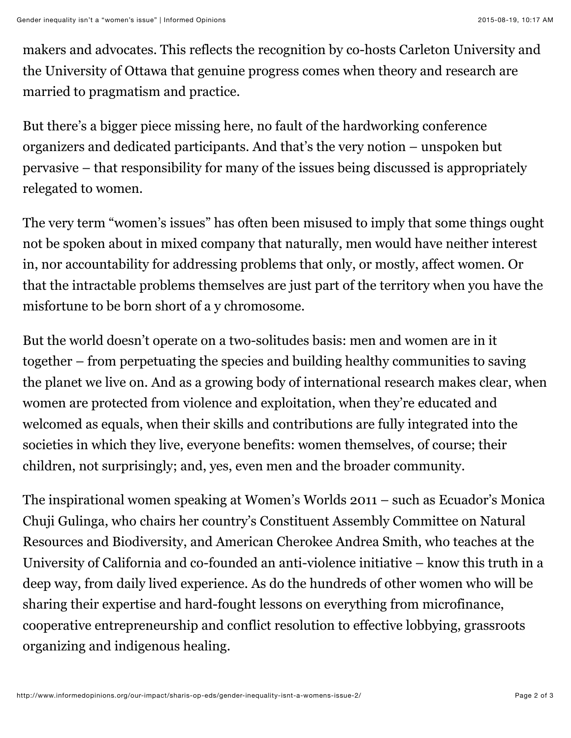makers and advocates. This reflects the recognition by co-hosts Carleton University and the University of Ottawa that genuine progress comes when theory and research are married to pragmatism and practice.

But there's a bigger piece missing here, no fault of the hardworking conference organizers and dedicated participants. And that's the very notion – unspoken but pervasive – that responsibility for many of the issues being discussed is appropriately relegated to women.

The very term "women's issues" has often been misused to imply that some things ought not be spoken about in mixed company that naturally, men would have neither interest in, nor accountability for addressing problems that only, or mostly, affect women. Or that the intractable problems themselves are just part of the territory when you have the misfortune to be born short of a y chromosome.

But the world doesn't operate on a two-solitudes basis: men and women are in it together – from perpetuating the species and building healthy communities to saving the planet we live on. And as a growing body of international research makes clear, when women are protected from violence and exploitation, when they're educated and welcomed as equals, when their skills and contributions are fully integrated into the societies in which they live, everyone benefits: women themselves, of course; their children, not surprisingly; and, yes, even men and the broader community.

The inspirational women speaking at Women's Worlds 2011 – such as Ecuador's Monica Chuji Gulinga, who chairs her country's Constituent Assembly Committee on Natural Resources and Biodiversity, and American Cherokee Andrea Smith, who teaches at the University of California and co-founded an anti-violence initiative – know this truth in a deep way, from daily lived experience. As do the hundreds of other women who will be sharing their expertise and hard-fought lessons on everything from microfinance, cooperative entrepreneurship and conflict resolution to effective lobbying, grassroots organizing and indigenous healing.